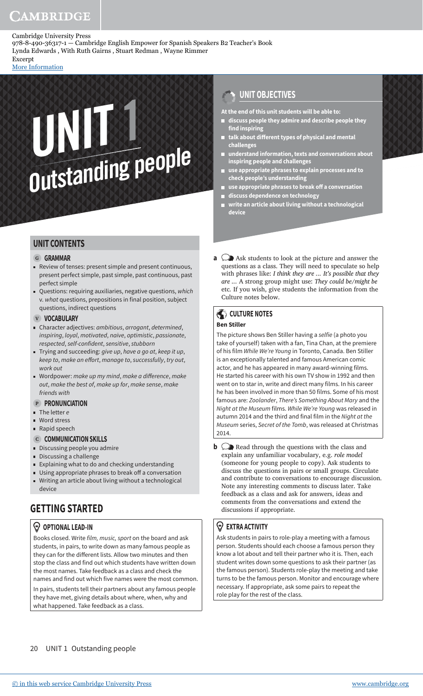[More Information](www.cambridge.org/9788490363171)

# UNIT1<br>Outstanding people

#### **UNIT CONTENTS**

#### **G GRAMMAR**

- Review of tenses: present simple and present continuous, present perfect simple, past simple, past continuous, past perfect simple
- Questions: requiring auxiliaries, negative questions, which v. what questions, prepositions in final position, subject questions, indirect questions

#### **V VOCABULARY**

- Character adjectives: ambitious, arrogant, determined, inspiring, loyal, motivated, naive, optimistic, passionate, respected, self-confident, sensitive, stubborn
- Trying and succeeding: give up, have a go at, keep it up, keep to, make an effort, manage to, successfully, try out, work out
- Wordpower: make up my mind, make a difference, make out, make the best of, make up for, make sense, make friends with
- **P PRONUNCIATION**
- **n** The letter e
- **Word stress**
- Rapid speech

#### **C COMMUNICATION SKILLS**

- Discussing people you admire
- Discussing a challenge
- Explaining what to do and checking understanding
- Using appropriate phrases to break off a conversation Writing an article about living without a technological
- device

# **GETTING STARTED**

# **OPTIONAL LEAD-IN**

Books closed. Write film, music, sport on the board and ask students, in pairs, to write down as many famous people as they can for the different lists. Allow two minutes and then stop the class and find out which students have written down the most names. Take feedback as a class and check the names and find out which five names were the most common. In pairs, students tell their partners about any famous people they have met, giving details about where, when, why and what happened. Take feedback as a class.

# **UNIT OBJECTIVES**

**At the end of this unit students will be able to:**

- **discuss people they admire and describe people they find inspiring**
- **talk about different types of physical and mental challenges**
- **understand information, texts and conversations about inspiring people and challenges**
- **use appropriate phrases to explain processes and to check people's understanding**
- **use appropriate phrases to break off a conversation**
- **discuss dependence on technology**
- **write an article about living without a technological device**

**a**  $\bigcirc$  Ask students to look at the picture and answer the questions as a class. They will need to speculate so help with phrases like: *I think they are ... It's possible that they are ...* A strong group might use: *They could be/might be*  etc*.* If you wish, give students the information from the Culture notes below.

# **CULTURE NOTES**

#### **Ben Stiller**

The picture shows Ben Stiller having a selfie (a photo you take of yourself) taken with a fan, Tina Chan, at the premiere of his film While We're Young in Toronto, Canada. Ben Stiller is an exceptionally talented and famous American comic actor, and he has appeared in many award-winning films. He started his career with his own TV show in 1992 and then went on to star in, write and direct many films. In his career he has been involved in more than 50 films. Some of his most famous are: Zoolander, There's Something About Mary and the Night at the Museum films. While We're Young was released in autumn 2014 and the third and final film in the Night at the Museum series, Secret of the Tomb, was released at Christmas 2014.

**b**  $\bigcirc$  Read through the questions with the class and explain any unfamiliar vocabulary, e.g. *role model* (someone for young people to copy). Ask students to discuss the questions in pairs or small groups. Circulate and contribute to conversations to encourage discussion. Note any interesting comments to discuss later. Take feedback as a class and ask for answers, ideas and comments from the conversations and extend the discussions if appropriate.

# **EXTRA ACTIVITY**

Ask students in pairs to role-play a meeting with a famous person. Students should each choose a famous person they know a lot about and tell their partner who it is. Then, each student writes down some questions to ask their partner (as the famous person). Students role-play the meeting and take turns to be the famous person. Monitor and encourage where necessary. If appropriate, ask some pairs to repeat the role play for the rest of the class.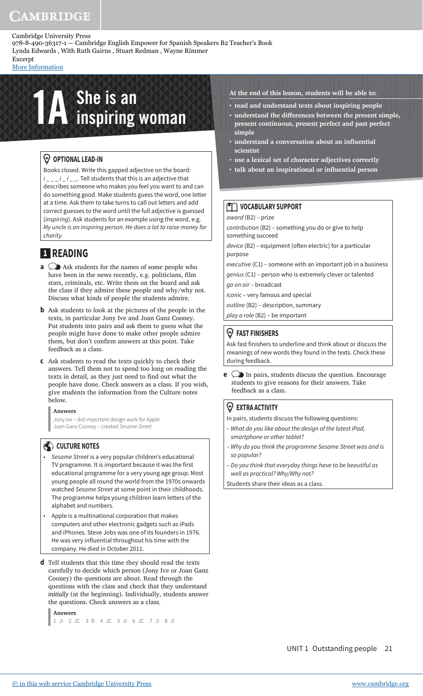[More Information](www.cambridge.org/9788490363171)

# **1A** She is an inspiring woman

# *<sup>* $\circledcirc$  **OPTIONAL LEAD-IN**</sup>

Books closed. Write this gapped adjective on the board:  $i_{-}$   $i_{-}$   $i_{-}$   $i_{-}$ . Tell students that this is an adjective that describes someone who makes you feel you want to and can do something good. Make students guess the word, one letter at a time. Ask them to take turns to call out letters and add correct guesses to the word until the full adjective is guessed (inspiring). Ask students for an example using the word, e.g. My uncle is an inspiring person. He does a lot to raise money for charity.

# **1 READING**

- **a**  $\bigcirc$  Ask students for the names of some people who have been in the news recently, e.g. politicians, film stars, criminals, etc. Write them on the board and ask the class if they admire these people and why/why not. Discuss what kinds of people the students admire.
- **b** Ask students to look at the pictures of the people in the texts, in particular Jony Ive and Joan Ganz Cooney. Put students into pairs and ask them to guess what the people might have done to make other people admire them, but don't confirm answers at this point. Take feedback as a class.
- **c** Ask students to read the texts quickly to check their answers. Tell them not to spend too long on reading the texts in detail, as they just need to find out what the people have done. Check answers as a class. If you wish, give students the information from the Culture notes below.

#### **Answers**

Jony Ive – did important design work for Apple Joan Ganz Cooney – created Sesame Street

# **CULTURE NOTES**

- Sesame Street is a very popular children's educational TV programme. It is important because it was the first educational programme for a very young age group. Most young people all round the world from the 1970s onwards watched Sesame Street at some point in their childhoods. The programme helps young children learn letters of the alphabet and numbers.
- Apple is a multinational corporation that makes computers and other electronic gadgets such as iPads and iPhones. Steve Jobs was one of its founders in 1976. He was very influential throughout his time with the company. He died in October 2011.
- **d** Tell students that this time they should read the texts carefully to decide which person (Jony Ive or Joan Ganz Cooney) the questions are about. Read through the questions with the class and check that they understand *initially* (at the beginning). Individually, students answer the questions. Check answers as a class.

**Answers** 1 JI 2 JC 3 B 4 JC 5 JI 6 JC 7 JI 8 JI **At the end of this lesson, students will be able to:**

- **read and understand texts about inspiring people • understand the differences between the present simple, present continuous, present perfect and past perfect simple**
- **understand a conversation about an inl uential scientist**
- **use a lexical set of character adjectives correctly**
- **talk about an inspirational or inl uential person**

#### **M** VOCABULARY SUPPORT

award (B2) – prize

contribution (B2) – something you do or give to help something succeed

device (B2) - equipment (often electric) for a particular purpose

executive (C1) – someone with an important job in a business

genius (C1) – person who is extremely clever or talented go on air – broadcast

iconic – very famous and special

outline (B2) – description, summary

play a role (B2) – be important

## **EXAMPLE FINISHERS**

Ask fast finishers to underline and think about or discuss the meanings of new words they found in the texts. Check these during feedback.

**e**  $\bigcirc$  In pairs, students discuss the question. Encourage students to give reasons for their answers. Take feedback as a class.

## **EXTRA ACTIVITY**

- In pairs, students discuss the following questions:
- What do you like about the design of the latest iPad, smartphone or other tablet?
- Why do you think the programme Sesame Street was and is so popular?
- Do you think that everyday things have to be beautiful as well as practical? Why/Why not?

Students share their ideas as a class.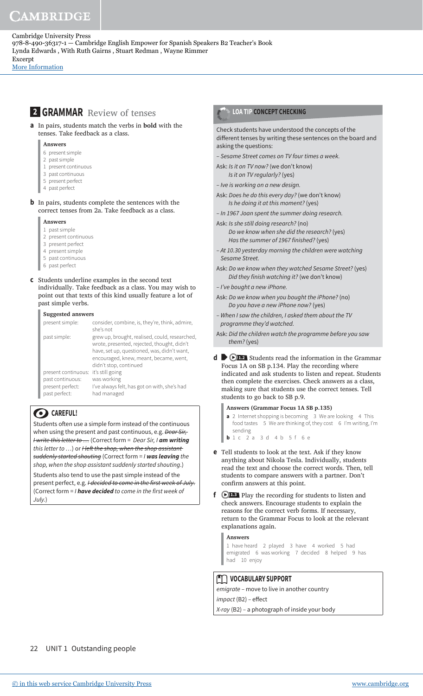CAMBRIDGE

#### Cambridge University Press 978-8-490-36317-1 — Cambridge English Empower for Spanish Speakers B2 Teacher's Book Lynda Edwards , With Ruth Gairns , Stuart Redman , Wayne Rimmer Excerpt

[More Information](www.cambridge.org/9788490363171)

# **2 GRAMMAR** Review of tenses

**a** In pairs, students match the verbs in **bold** with the tenses. Take feedback as a class.

**Answers**

- 6 present simple
- 2 past simple
- 1 present continuous
- 3 past continuous 5 present perfect
- 4 past perfect
- 
- **b** In pairs, students complete the sentences with the correct tenses from 2a. Take feedback as a class.

#### **Answers**

- 1 past simple
- 2 present continuous
- 3 present perfect
- 4 present simple
- 5 past continuous
- 6 past perfect

**c** Students underline examples in the second text individually. Take feedback as a class. You may wish to point out that texts of this kind usually feature a lot of past simple verbs.

#### **Suggested answers**

| present simple:                                                                              | consider, combine, is, they're, think, admire,<br>she's not                                                                                                                                                                                                                                                        |
|----------------------------------------------------------------------------------------------|--------------------------------------------------------------------------------------------------------------------------------------------------------------------------------------------------------------------------------------------------------------------------------------------------------------------|
| past simple:<br>present continuous:<br>past continuous:<br>present perfect:<br>past perfect: | grew up, brought, realised, could, researched,<br>wrote, presented, rejected, thought, didn't<br>have, set up, questioned, was, didn't want,<br>encouraged, knew, meant, became, went,<br>didn't stop, continued<br>it's still going<br>was working<br>I've always felt, has got on with, she's had<br>had managed |
|                                                                                              |                                                                                                                                                                                                                                                                                                                    |

# **CAREFUL!**

Students often use a simple form instead of the continuous when using the present and past continuous, e.g. Dear Sir, I write this letter to … (Correct form = Dear Sir, I **am writing** this letter to ...) or Heft the shop, when the shop assistant suddenly started shouting (Correct form = I **was leaving** the shop, when the shop assistant suddenly started shouting.) Students also tend to use the past simple instead of the present perfect, e.g. *I decided to come in the first week of July*. (Correct form = I **have decided** to come in the first week of July.)

#### **LOA TIP CONCEPT CHECKING**

Check students have understood the concepts of the diferent tenses by writing these sentences on the board and asking the questions:

– Sesame Street comes on TV four times a week.

- Ask: Is it on TV now? (we don't know)
- Is it on TV regularly? (yes)
- Ive is working on a new design.
- Ask: Does he do this every day? (we don't know) Is he doing it at this moment? (yes)
- In 1967 Joan spent the summer doing research.

Ask: Is she still doing research? (no)

Do we know when she did the research? (yes) Has the summer of 1967 finished? (yes)

- At 10.30 yesterday morning the children were watching Sesame Street.
- Ask: Do we know when they watched Sesame Street? (yes) Did they finish watching it? (we don't know)
- I've bought a new iPhone.
- Ask: Do we know when you bought the iPhone? (no) Do you have a new iPhone now? (yes)
- When I saw the children, I asked them about the TV programme they'd watched.
- Ask: Did the children watch the programme before you saw them? (yes)
- **d 1.2** Students read the information in the Grammar Focus 1A on SB p.134. Play the recording where indicated and ask students to listen and repeat. Students then complete the exercises. Check answers as a class, making sure that students use the correct tenses. Tell students to go back to SB p.9.

**Answers (Grammar Focus 1A SB p.135)**

- **a** 2 Internet shopping is becoming 3 We are looking 4 This food tastes 5 We are thinking of, they cost 6 I'm writing, I'm sending
- **b** 1 c 2 a 3 d 4 b 5 f 6 e
- **e** Tell students to look at the text. Ask if they know anything about Nikola Tesla. Individually, students read the text and choose the correct words. Then, tell students to compare answers with a partner. Don't confirm answers at this point.
- **f**  $\bigcirc$  **1.3** Play the recording for students to listen and check answers. Encourage students to explain the reasons for the correct verb forms. If necessary, return to the Grammar Focus to look at the relevant explanations again.

#### **Answers**

1 have heard 2 played 3 have 4 worked 5 had emigrated 6 was working 7 decided 8 helped 9 has had 10 enjoy

#### **MOCABULARY SUPPORT**

emigrate – move to live in another country impact (B2) - effect X-ray (B2) – a photograph of inside your body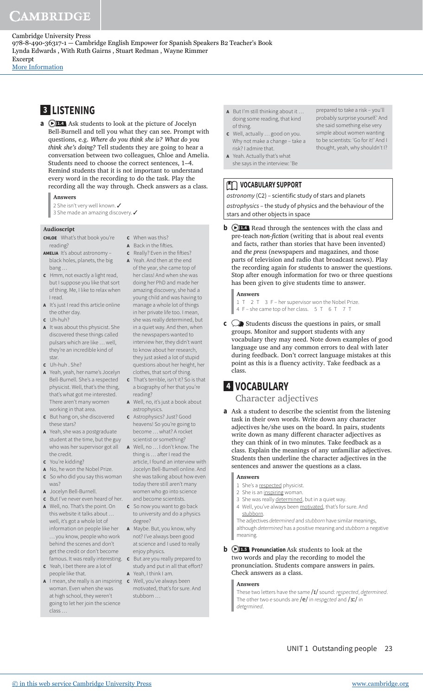[More Information](www.cambridge.org/9788490363171)

# **3 LISTENING**

**a DI**: Ask students to look at the picture of Jocelyn Bell-Burnell and tell you what they can see. Prompt with questions, e.g. *Where do you think she is? What do you think she's doing?* Tell students they are going to hear a conversation between two colleagues, Chloe and Amelia. Students need to choose the correct sentences, 1–4. Remind students that it is not important to understand every word in the recording to do the task. Play the recording all the way through. Check answers as a class.

**Answers**

- 2 She isn't very well known. ✔
- 3 She made an amazing discovery. ✓

#### **Audioscript**

- **CHLOE** What's that book you're reading?
- **AMELIA** It's about astronomy black holes, planets, the big bang …
- **C** Hmm, not exactly a light read, but I suppose you like that sort of thing. Me, I like to relax when I read.
- **A** It's just I read this article online the other day.
- **C** Uh-huh?
- **A** It was about this physicist. She discovered these things called pulsars which are like … well, they're an incredible kind of star.
- **C** Uh-huh . She?
- **A** Yeah, yeah, her name's Jocelyn Bell-Burnell. She's a respected physicist. Well, that's the thing, that's what got me interested. There aren't many women working in that area.
- **C** But hang on, she discovered these stars?
- **A** Yeah, she was a postgraduate student at the time, but the guy who was her supervisor got all **A** Well, no … I don't know. The the credit.
- **C** You're kidding?
- **A** No, he won the Nobel Prize.
- **C** So who did you say this woman was?
- **A** Jocelyn Bell-Burnell.
- **C** But I've never even heard of her.
- **A** Well, no. That's the point. On this website it talks about … well, it's got a whole lot of information on people like her … you know, people who work behind the scenes and don't get the credit or don't become famous. It was really interesting. **C** But are you really prepared to
- **C** Yeah, I bet there are a lot of people like that.
- **A** I mean, she really is an inspiring **C** Well, you've always been woman. Even when she was at high school, they weren't going to let her join the science class …
- **C** When was this?
- **A** Back in the fifties
- **C** Really? Even in the fities?
- **A** Yeah. And then at the end of the year, she came top of her class! And when she was doing her PhD and made her amazing discovery, she had a young child and was having to manage a whole lot of things in her private life too. I mean, she was really determined, but in a quiet way. And then, when the newspapers wanted to interview her, they didn't want to know about her research, they just asked a lot of stupid questions about her height, her clothes, that sort of thing. **C** That's terrible, isn't it? So is that
- a biography of her that you're reading? **A** Well, no, it's just a book about
- astrophysics. **C** Astrophysics? Just? Good heavens! So you're going to become … what? A rocket scientist or something?
- thing is … ater I read the article, I found an interview with Jocelyn Bell-Burnell online. And she was talking about how even today there still aren't many women who go into science and become scientists.
- **c** So now you want to go back to university and do a physics degree?
- **A** Maybe. But, you know, why not? I've always been good at science and I used to really enjoy physics.
- study and put in all that effort?
- **A** Yeah, I think I am.
- motivated, that's for sure. And stubborn …
- **A** But I'm still thinking about it … doing some reading, that kind of thing.
- **C** Well, actually … good on you. Why not make a change – take a risk? I admire that.
- **A** Yeah. Actually that's what she says in the interview: 'Be

#### **M** VOCABULARY SUPPORT

astronomy (C2) – scientific study of stars and planets astrophysics – the study of physics and the behaviour of the stars and other objects in space

prepared to take a risk – you'll probably surprise yourself.' And she said something else very simple about women wanting to be scientists: 'Go for it!' And I thought, yeah, why shouldn't I?

**b**  $\bigcirc$  **1.4** Read through the sentences with the class and pre-teach *non-fiction* (writing that is about real events and facts, rather than stories that have been invented) and *the press* (newspapers and magazines, and those parts of television and radio that broadcast news). Play the recording again for students to answer the questions. Stop after enough information for two or three questions has been given to give students time to answer.

**Answers** 1 T 2 T 3 F – her supervisor won the Nobel Prize. 4 F – she came top of her class. 5 T 6 T 7 T

**c**  $\bigcirc$  Students discuss the questions in pairs, or small groups. Monitor and support students with any vocabulary they may need. Note down examples of good language use and any common errors to deal with later during feedback. Don't correct language mistakes at this point as this is a fluency activity. Take feedback as a class.

# **4 VOCABULARY**

#### Character adjectives

**a** Ask a student to describe the scientist from the listening task in their own words. Write down any character adjectives he/she uses on the board. In pairs, students write down as many diferent character adjectives as they can think of in two minutes. Take feedback as a class. Explain the meanings of any unfamiliar adjectives. Students then underline the character adjectives in the sentences and answer the questions as a class.

#### **Answers**

- 1 She's a respected physicist.
- 2 She is an inspiring woman.
- 3 She was really determined, but in a quiet way. 4 Well, you've always been motivated, that's for sure. And stubborn.

The adjectives determined and stubborn have similar meanings, although determined has a positive meaning and stubborn a negative meaning.

**b 1.5 Pronunciation** Ask students to look at the two words and play the recording to model the pronunciation. Students compare answers in pairs. Check answers as a class.

#### **Answers**

These two letters have the same  $/I/$  sound: respected, determined. The other two e sounds are  $/e/$  in respected and  $\frac{3i}{\sin 2i}$  in determined.